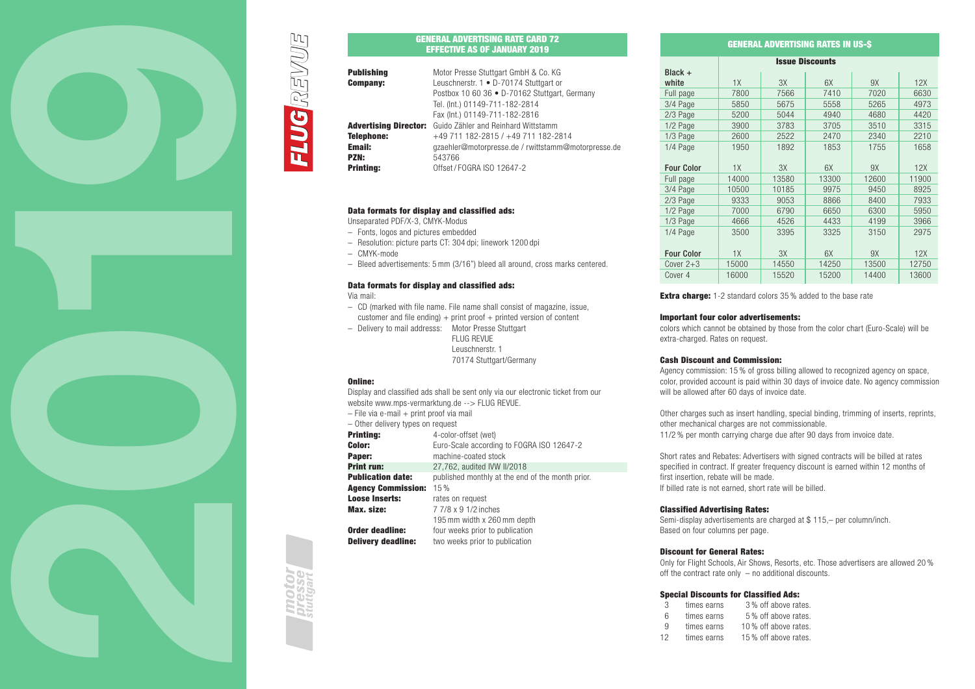

# GENERAL ADVERTISING RATE CARD 72 EFFECTIVE AS OF JANUARY 2019

| <b>Publishing</b> | Motor Presse Stuttgart GmbH & Co. KG                      |
|-------------------|-----------------------------------------------------------|
| <b>Company:</b>   | Leuschnerstr. 1 · D-70174 Stuttgart or                    |
|                   | Postbox 10 60 36 . D-70162 Stuttgart, Germany             |
|                   | Tel. (Int.) 01149-711-182-2814                            |
|                   | Fax (Int.) 01149-711-182-2816                             |
|                   | Advertising Director: Guido Zähler and Reinhard Wittstamm |
| <b>Telephone:</b> | +49 711 182-2815 / +49 711 182-2814                       |
| Email:            | gzaehler@motorpresse.de / rwittstamm@motorpresse.de       |
| <b>PZN:</b>       | 543766                                                    |
| <b>Printing:</b>  | Offset / FOGRA ISO 12647-2                                |

# Data formats for display and classified ads:

Unseparated PDF/X-3, CMYK-Modus

- Fonts, logos and pictures embedded
- Resolution: picture parts CT: 304 dpi; linework 1200 dpi
- CMYK-mode
- Bleed advertisements: 5 mm (3/16") bleed all around, cross marks centered.

# Data formats for display and classified ads:

Via mail:

**ELUGREVUE** 

- CD (marked with file name. File name shall consist of magazine, issue,
- customer and file ending)  $+$  print proof  $+$  printed version of content – Delivery to mail addresss: Motor Presse Stuttgart

 FLUG REVUE Leuschnerstr. 1 70174 Stuttgart/Germany

#### Online:

Display and classified ads shall be sent only via our electronic ticket from our website www.mps-vermarktung.de --> FLUG REVUE

|                                          | $\frac{1}{2}$                                    |  |  |
|------------------------------------------|--------------------------------------------------|--|--|
| - File via e-mail + print proof via mail |                                                  |  |  |
| - Other delivery types on request        |                                                  |  |  |
| <b>Printing:</b>                         | 4-color-offset (wet)                             |  |  |
| Color:                                   | Euro-Scale according to FOGRA ISO 12647-2        |  |  |
| Paper:                                   | machine-coated stock                             |  |  |
| <b>Print run:</b>                        | 27,762, audited IVW II/2018                      |  |  |
| <b>Publication date:</b>                 | published monthly at the end of the month prior. |  |  |
| <b>Agency Commission:</b>                | 15%                                              |  |  |
| <b>Loose Inserts:</b>                    | rates on request                                 |  |  |
| Max. size:                               | 7 7/8 x 9 1/2 inches                             |  |  |
|                                          | 195 mm width x 260 mm depth                      |  |  |
| Order deadline:                          | four weeks prior to publication                  |  |  |

| VIWYI WYWWIIIVI           |  |  | Tour woone prior to publication |
|---------------------------|--|--|---------------------------------|
| <b>Delivery deadline:</b> |  |  | two weeks prior to publication  |

# GENERAL ADVERTISING RATES IN US-\$

|                    |       |       | <b>Issue Discounts</b> |       |       |
|--------------------|-------|-------|------------------------|-------|-------|
| Black +            |       |       |                        |       |       |
| white              | 1X    | 3X    | 6X                     | 9X    | 12X   |
| Full page          | 7800  | 7566  | 7410                   | 7020  | 6630  |
| 3/4 Page           | 5850  | 5675  | 5558                   | 5265  | 4973  |
| 2/3 Page           | 5200  | 5044  | 4940                   | 4680  | 4420  |
| 1/2 Page           | 3900  | 3783  | 3705                   | 3510  | 3315  |
| 1/3 Page           | 2600  | 2522  | 2470                   | 2340  | 2210  |
| 1/4 Page           | 1950  | 1892  | 1853                   | 1755  | 1658  |
|                    |       |       |                        |       |       |
| <b>Four Color</b>  | 1X    | 3X    | 6X                     | 9X    | 12X   |
| Full page          | 14000 | 13580 | 13300                  | 12600 | 11900 |
| 3/4 Page           | 10500 | 10185 | 9975                   | 9450  | 8925  |
| 2/3 Page           | 9333  | 9053  | 8866                   | 8400  | 7933  |
| 1/2 Page           | 7000  | 6790  | 6650                   | 6300  | 5950  |
| 1/3 Page           | 4666  | 4526  | 4433                   | 4199  | 3966  |
| 1/4 Page           | 3500  | 3395  | 3325                   | 3150  | 2975  |
|                    |       |       |                        |       |       |
| <b>Four Color</b>  | 1X    | 3X    | 6X                     | 9X    | 12X   |
| Cover $2+3$        | 15000 | 14550 | 14250                  | 13500 | 12750 |
| Cover <sub>4</sub> | 16000 | 15520 | 15200                  | 14400 | 13600 |

**Extra charge:** 1-2 standard colors 35 % added to the base rate

# Important four color advertisements:

colors which cannot be obtained by those from the color chart (Euro-Scale) will be extra-charged. Rates on request.

### Cash Discount and Commission:

Agency commission: 15 % of gross billing allowed to recognized agency on space, color, provided account is paid within 30 days of invoice date. No agency commission will be allowed after 60 days of invoice date.

Other charges such as insert handling, special binding, trimming of inserts, reprints, other mechanical charges are not commissionable. 11/2 % per month carrying charge due after 90 days from invoice date.

Short rates and Rebates: Advertisers with signed contracts will be billed at rates specified in contract. If greater frequency discount is earned within 12 months of first insertion, rebate will be made. If billed rate is not earned, short rate will be billed.

# Classified Advertising Rates:

Semi-display advertisements are charged at \$ 115,– per column/inch. Based on four columns per page.

# Discount for General Rates:

Only for Flight Schools, Air Shows, Resorts, etc. Those advertisers are allowed 20 % off the contract rate only – no additional discounts.

# Special Discounts for Classified Ads:

| 3  | times earns | 3% off above rates.  |
|----|-------------|----------------------|
| 6  | times earns | 5% off above rates.  |
| 9  | times earns | 10% off above rates. |
| 12 | times earns | 15% off above rates. |